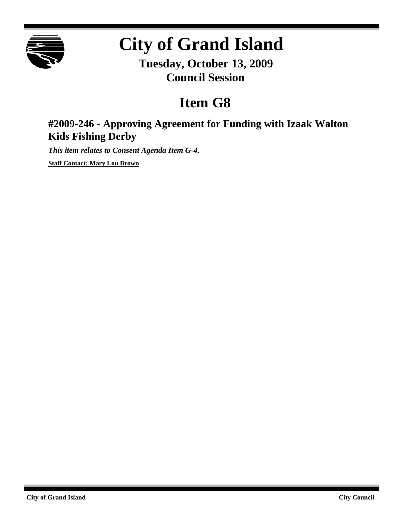

# **City of Grand Island**

**Tuesday, October 13, 2009 Council Session**

## **Item G8**

### **#2009-246 - Approving Agreement for Funding with Izaak Walton Kids Fishing Derby**

*This item relates to Consent Agenda Item G-4.*

**Staff Contact: Mary Lou Brown**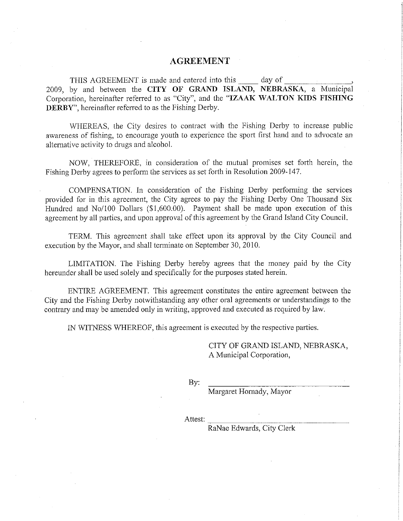#### **AGREEMENT**

THIS AGREEMENT is made and entered into this way of 2009, by and between the CITY OF GRAND ISLAND, NEBRASKA, a Municipal Corporation, hereinafter referred to as "City", and the "IZAAK WALTON KIDS FISHING **DERBY**", hereinafter referred to as the Fishing Derby.

WHEREAS, the City desires to contract with the Fishing Derby to increase public awareness of fishing, to encourage youth to experience the sport first hand and to advocate an alternative activity to drugs and alcohol.

NOW, THEREFORE, in consideration of the mutual promises set forth herein, the Fishing Derby agrees to perform the services as set forth in Resolution 2009-147.

COMPENSATION. In consideration of the Fishing Derby performing the services provided for in this agreement, the City agrees to pay the Fishing Derby One Thousand Six Hundred and No/100 Dollars (\$1,600.00). Payment shall be made upon execution of this agreement by all parties, and upon approval of this agreement by the Grand Island City Council.

TERM. This agreement shall take effect upon its approval by the City Council and execution by the Mayor, and shall terminate on September 30, 2010.

LIMITATION. The Fishing Derby hereby agrees that the money paid by the City hereunder shall be used solely and specifically for the purposes stated herein.

ENTIRE AGREEMENT. This agreement constitutes the entire agreement between the City and the Fishing Derby notwithstanding any other oral agreements or understandings to the contrary and may be amended only in writing, approved and executed as required by law.

IN WITNESS WHEREOF, this agreement is executed by the respective parties.

CITY OF GRAND ISLAND, NEBRASKA, A Municipal Corporation,

By:

Margaret Hornady, Mayor

Attest:

RaNae Edwards, City Clerk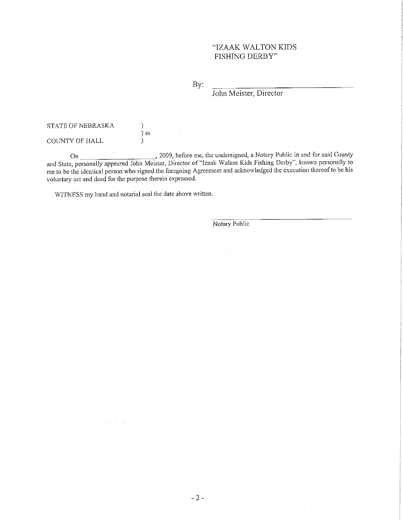#### "IZAAK WALTON KIDS FISHING DERBY"

By:

John Meister, Director

#### STATE OF NEBRASKA

COUNTY OF HALL

On 3009, before me, the undersigned, a Notary Public in and for said County<br>and State, personally appeared John Meister, Director of "Izaak Walton Kids Fishing Derby", known personally to me to be the identical person who signed the foregoing Agreement and acknowledged the execution thereof to be his voluntary act and deed for the purpose therein expressed.

WITNESS my hand and notarial seal the date above written.

 $\mathcal{C}$  $\overline{\phantom{a}}$  ss

 $\mathcal{E}$ 

Notary Public